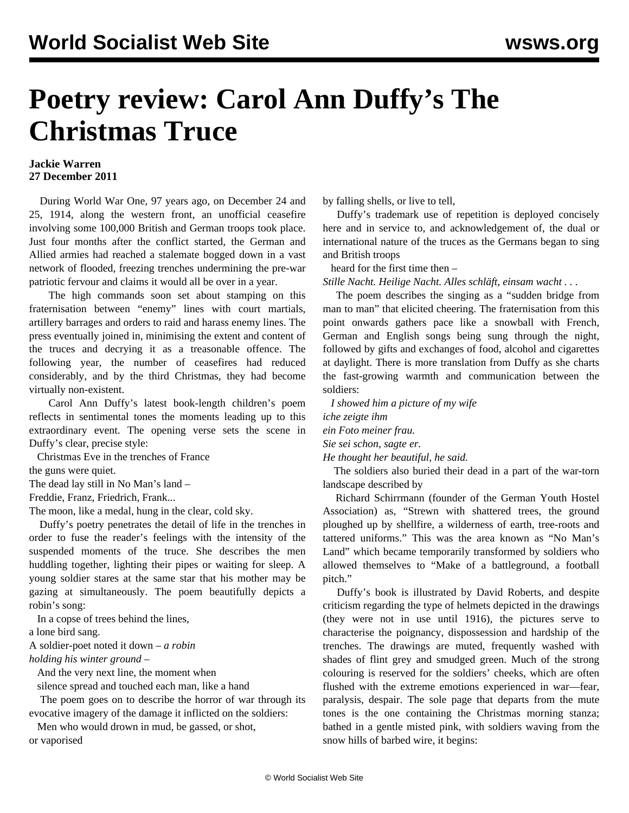## **Poetry review: Carol Ann Duffy's The Christmas Truce**

## **Jackie Warren 27 December 2011**

 During World War One, 97 years ago, on December 24 and 25, 1914, along the western front, an unofficial ceasefire involving some 100,000 British and German troops took place. Just four months after the conflict started, the German and Allied armies had reached a stalemate bogged down in a vast network of flooded, freezing trenches undermining the pre-war patriotic fervour and claims it would all be over in a year.

 The high commands soon set about stamping on this fraternisation between "enemy" lines with court martials, artillery barrages and orders to raid and harass enemy lines. The press eventually joined in, minimising the extent and content of the truces and decrying it as a treasonable offence. The following year, the number of ceasefires had reduced considerably, and by the third Christmas, they had become virtually non-existent.

 Carol Ann Duffy's latest book-length children's poem reflects in sentimental tones the moments leading up to this extraordinary event. The opening verse sets the scene in Duffy's clear, precise style:

Christmas Eve in the trenches of France

the guns were quiet.

The dead lay still in No Man's land –

Freddie, Franz, Friedrich, Frank...

The moon, like a medal, hung in the clear, cold sky.

 Duffy's poetry penetrates the detail of life in the trenches in order to fuse the reader's feelings with the intensity of the suspended moments of the truce. She describes the men huddling together, lighting their pipes or waiting for sleep. A young soldier stares at the same star that his mother may be gazing at simultaneously. The poem beautifully depicts a robin's song:

In a copse of trees behind the lines,

a lone bird sang.

A soldier-poet noted it down – *a robin*

*holding his winter ground* –

And the very next line, the moment when

silence spread and touched each man, like a hand

 The poem goes on to describe the horror of war through its evocative imagery of the damage it inflicted on the soldiers:

Men who would drown in mud, be gassed, or shot,

or vaporised

by falling shells, or live to tell,

 Duffy's trademark use of repetition is deployed concisely here and in service to, and acknowledgement of, the dual or international nature of the truces as the Germans began to sing and British troops

heard for the first time then –

*Stille Nacht. Heilige Nacht. Alles schläft, einsam wacht . . .*

 The poem describes the singing as a "sudden bridge from man to man" that elicited cheering. The fraternisation from this point onwards gathers pace like a snowball with French, German and English songs being sung through the night, followed by gifts and exchanges of food, alcohol and cigarettes at daylight. There is more translation from Duffy as she charts the fast-growing warmth and communication between the soldiers:

 *I showed him a picture of my wife iche zeigte ihm ein Foto meiner frau.*

*Sie sei schon, sagte er.*

*He thought her beautiful, he said.*

 The soldiers also buried their dead in a part of the war-torn landscape described by

 Richard Schirrmann (founder of the German Youth Hostel Association) as, "Strewn with shattered trees, the ground ploughed up by shellfire, a wilderness of earth, tree-roots and tattered uniforms." This was the area known as "No Man's Land" which became temporarily transformed by soldiers who allowed themselves to "Make of a battleground, a football pitch."

 Duffy's book is illustrated by David Roberts, and despite criticism regarding the type of helmets depicted in the drawings (they were not in use until 1916), the pictures serve to characterise the poignancy, dispossession and hardship of the trenches. The drawings are muted, frequently washed with shades of flint grey and smudged green. Much of the strong colouring is reserved for the soldiers' cheeks, which are often flushed with the extreme emotions experienced in war—fear, paralysis, despair. The sole page that departs from the mute tones is the one containing the Christmas morning stanza; bathed in a gentle misted pink, with soldiers waving from the snow hills of barbed wire, it begins: